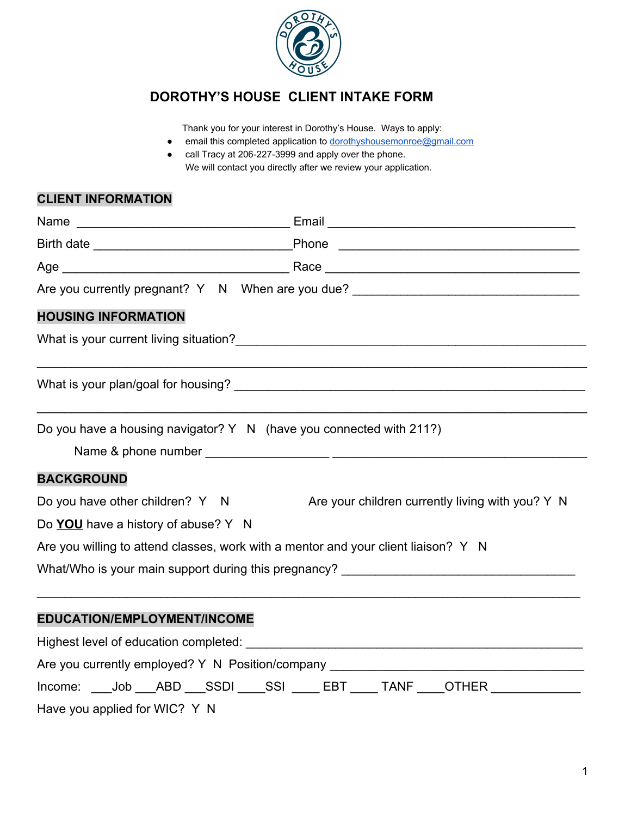

## **DOROTHY'S HOUSE CLIENT INTAKE FORM**

Thank you for your interest in Dorothy's House. Ways to apply:

- email this completed application to [dorothyshousemonroe@gmail.com](mailto:dorothyshousemonroe@gmail.com)
- call Tracy at 206-227-3999 and apply over the phone. We will contact you directly after we review your application.

## **CLIENT INFORMATION**

|                                     | Are you currently pregnant? Y N When are you due? ______________________________       |
|-------------------------------------|----------------------------------------------------------------------------------------|
| <b>HOUSING INFORMATION</b>          |                                                                                        |
|                                     |                                                                                        |
|                                     |                                                                                        |
|                                     | Do you have a housing navigator? Y N (have you connected with 211?)                    |
| <b>BACKGROUND</b>                   |                                                                                        |
| Do you have other children? Y N     | Are your children currently living with you? Y N                                       |
| Do YOU have a history of abuse? Y N |                                                                                        |
|                                     | Are you willing to attend classes, work with a mentor and your client liaison? Y N     |
|                                     | What/Who is your main support during this pregnancy?                                   |
| EDUCATION/EMPLOYMENT/INCOME         |                                                                                        |
|                                     |                                                                                        |
|                                     | Are you currently employed? Y N Position/company _______________________________       |
|                                     | Income: ____Job ____ABD ____SSDI _____SSI _____ EBT _____ TANF ____OTHER _____________ |
|                                     |                                                                                        |

Have you applied for WIC? Y N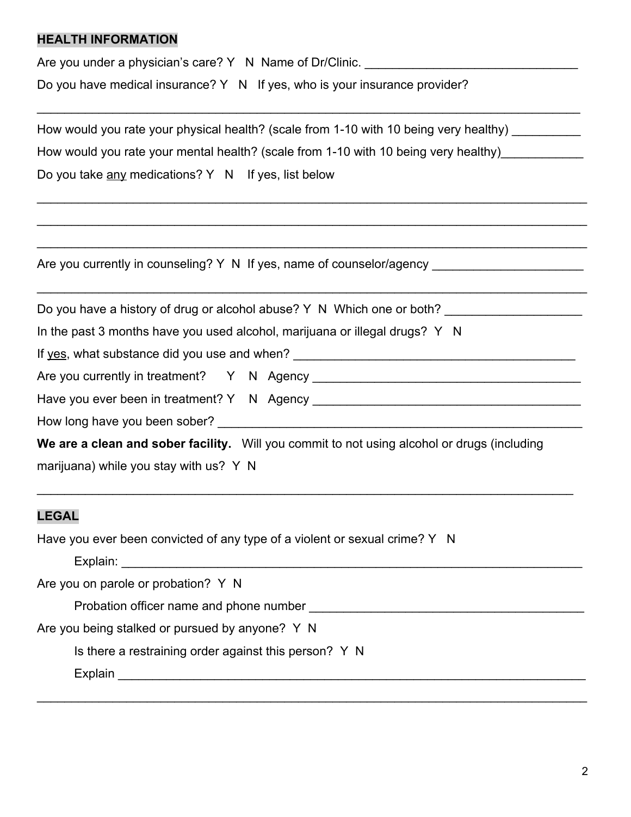#### **HEALTH INFORMATION**

Are you under a physician's care? Y N Name of Dr/Clinic. \_\_\_\_\_\_\_\_\_\_\_\_\_\_\_\_\_\_\_\_\_\_\_

Do you have medical insurance? Y N If yes, who is your insurance provider?

| How would you rate your physical health? (scale from 1-10 with 10 being very healthy) __________ |  |  |  |  |  |  |
|--------------------------------------------------------------------------------------------------|--|--|--|--|--|--|
| How would you rate your mental health? (scale from 1-10 with 10 being very healthy)              |  |  |  |  |  |  |
| Do you take any medications? Y N If yes, list below                                              |  |  |  |  |  |  |
|                                                                                                  |  |  |  |  |  |  |
|                                                                                                  |  |  |  |  |  |  |
|                                                                                                  |  |  |  |  |  |  |
|                                                                                                  |  |  |  |  |  |  |
| Do you have a history of drug or alcohol abuse? Y N Which one or both? ________________          |  |  |  |  |  |  |
| In the past 3 months have you used alcohol, marijuana or illegal drugs? Y N                      |  |  |  |  |  |  |
|                                                                                                  |  |  |  |  |  |  |
|                                                                                                  |  |  |  |  |  |  |
|                                                                                                  |  |  |  |  |  |  |

How long have you been sober? <br>

**We are a clean and sober facility.** Will you commit to not using alcohol or drugs (including

\_\_\_\_\_\_\_\_\_\_\_\_\_\_\_\_\_\_\_\_\_\_\_\_\_\_\_\_\_\_\_\_\_\_\_\_\_\_\_\_\_\_\_\_\_\_\_\_\_\_\_\_\_\_\_\_\_\_\_\_\_\_\_\_\_\_\_\_\_\_\_\_\_\_\_\_\_\_

\_\_\_\_\_\_\_\_\_\_\_\_\_\_\_\_\_\_\_\_\_\_\_\_\_\_\_\_\_\_\_\_\_\_\_\_\_\_\_\_\_\_\_\_\_\_\_\_\_\_\_\_\_\_\_\_\_\_\_\_\_\_\_\_\_\_\_\_\_\_\_\_\_\_\_\_\_\_\_\_

marijuana) while you stay with us? Y N

#### **LEGAL**

Have you ever been convicted of any type of a violent or sexual crime? Y N

Explain:

Are you on parole or probation? Y N

Probation officer name and phone number \_\_\_\_\_\_\_\_\_\_\_\_\_\_\_\_\_\_\_\_\_\_\_\_\_\_\_\_\_\_\_\_\_\_\_\_\_\_\_\_

Are you being stalked or pursued by anyone? Y N

Is there a restraining order against this person? Y N

Explain **Explain Explain Explain Explain Explain Explain Explain Explain Explain Explain Explain**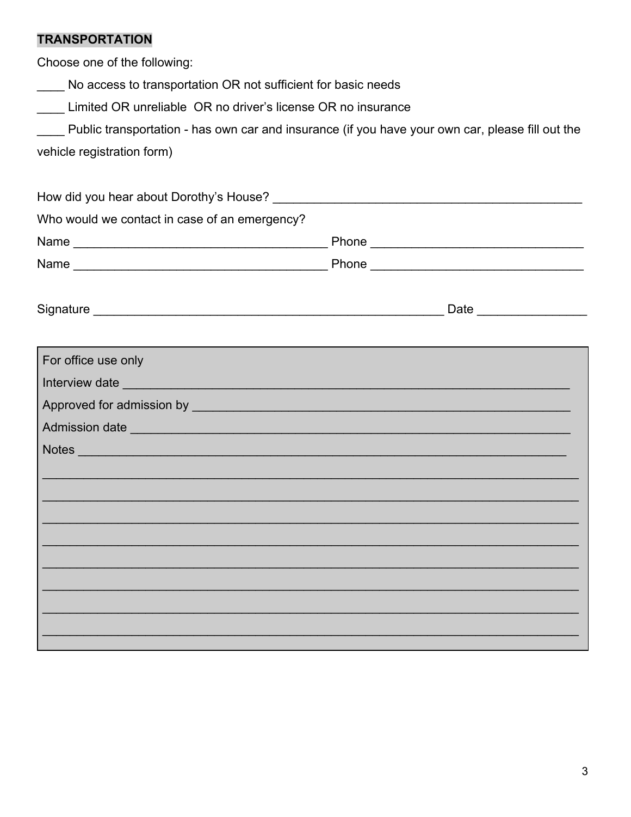# **TRANSPORTATION**

Choose one of the following:

No access to transportation OR not sufficient for basic needs

Limited OR unreliable OR no driver's license OR no insurance

| Public transportation - has own car and insurance (if you have your own car, please fill out the |  |  |
|--------------------------------------------------------------------------------------------------|--|--|
| stala da data da filma famos)                                                                    |  |  |

vehicle registration form)

| Who would we contact in case of an emergency? |                |  |  |  |  |  |  |
|-----------------------------------------------|----------------|--|--|--|--|--|--|
|                                               |                |  |  |  |  |  |  |
|                                               |                |  |  |  |  |  |  |
|                                               |                |  |  |  |  |  |  |
| For office use only                           |                |  |  |  |  |  |  |
|                                               |                |  |  |  |  |  |  |
|                                               |                |  |  |  |  |  |  |
|                                               | Admission date |  |  |  |  |  |  |
|                                               |                |  |  |  |  |  |  |
|                                               |                |  |  |  |  |  |  |
|                                               |                |  |  |  |  |  |  |
|                                               |                |  |  |  |  |  |  |
|                                               |                |  |  |  |  |  |  |
|                                               |                |  |  |  |  |  |  |
|                                               |                |  |  |  |  |  |  |
|                                               |                |  |  |  |  |  |  |
|                                               |                |  |  |  |  |  |  |
|                                               |                |  |  |  |  |  |  |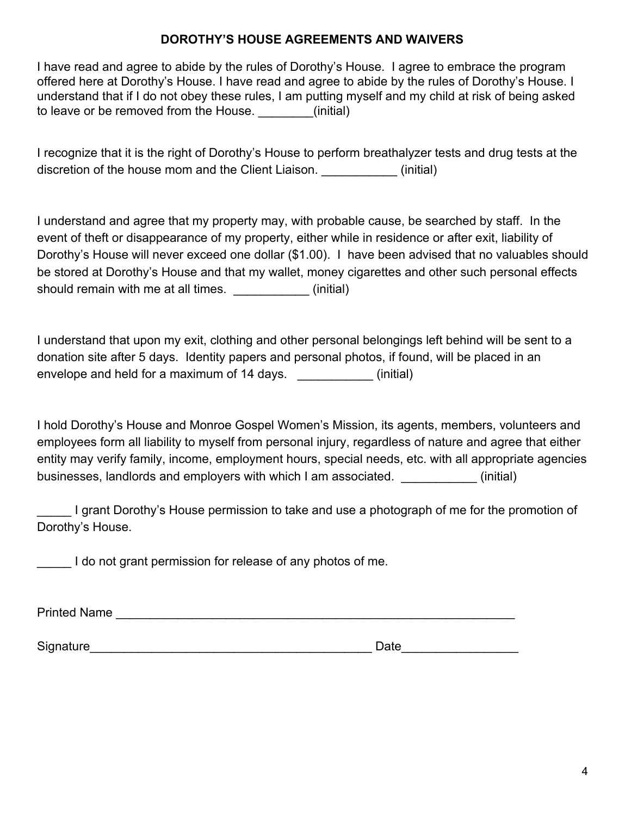### **DOROTHY'S HOUSE AGREEMENTS AND WAIVERS**

I have read and agree to abide by the rules of Dorothy's House. I agree to embrace the program offered here at Dorothy's House. I have read and agree to abide by the rules of Dorothy's House. I understand that if I do not obey these rules, I am putting myself and my child at risk of being asked to leave or be removed from the House.  $\qquad \qquad$  (initial)

I recognize that it is the right of Dorothy's House to perform breathalyzer tests and drug tests at the discretion of the house mom and the Client Liaison. **Example 2** (initial)

I understand and agree that my property may, with probable cause, be searched by staff. In the event of theft or disappearance of my property, either while in residence or after exit, liability of Dorothy's House will never exceed one dollar (\$1.00). I have been advised that no valuables should be stored at Dorothy's House and that my wallet, money cigarettes and other such personal effects should remain with me at all times.  $\qquad \qquad$  (initial)

I understand that upon my exit, clothing and other personal belongings left behind will be sent to a donation site after 5 days. Identity papers and personal photos, if found, will be placed in an envelope and held for a maximum of 14 days. \_\_\_\_\_\_\_\_\_\_\_\_ (initial)

I hold Dorothy's House and Monroe Gospel Women's Mission, its agents, members, volunteers and employees form all liability to myself from personal injury, regardless of nature and agree that either entity may verify family, income, employment hours, special needs, etc. with all appropriate agencies businesses, landlords and employers with which I am associated.  $\qquad \qquad$  (initial)

I grant Dorothy's House permission to take and use a photograph of me for the promotion of Dorothy's House.

I do not grant permission for release of any photos of me.

Printed Name \_\_\_\_\_\_\_\_\_\_\_\_\_\_\_\_\_\_\_\_\_\_\_\_\_\_\_\_\_\_\_\_\_\_\_\_\_\_\_\_\_\_\_\_\_\_\_\_\_\_\_\_\_\_\_\_\_\_

Signature\_\_\_\_\_\_\_\_\_\_\_\_\_\_\_\_\_\_\_\_\_\_\_\_\_\_\_\_\_\_\_\_\_\_\_\_\_\_\_\_\_ Date\_\_\_\_\_\_\_\_\_\_\_\_\_\_\_\_\_